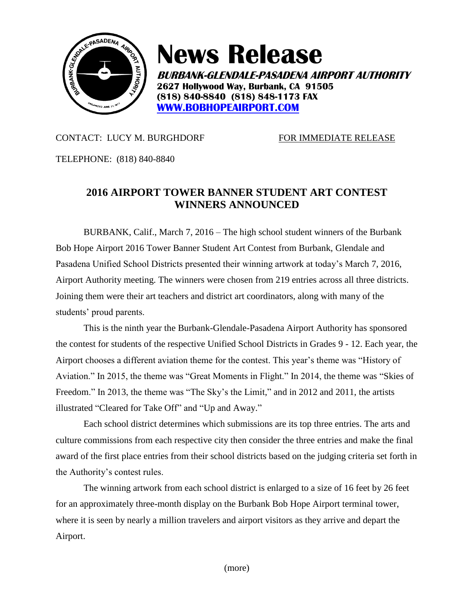

# **News Release**

**BURBANK-GLENDALE-PASADENA AIRPORT AUTHORITY 2627 Hollywood Way, Burbank, CA 91505 (818) 840-8840 (818) 848-1173 FAX [WWW.BOBHOPEAIRPORT.COM](http://www.bobhopeairport.com/)**

## CONTACT: LUCY M. BURGHDORF FOR IMMEDIATE RELEASE

TELEPHONE: (818) 840-8840

## **2016 AIRPORT TOWER BANNER STUDENT ART CONTEST WINNERS ANNOUNCED**

BURBANK, Calif., March 7, 2016 – The high school student winners of the Burbank Bob Hope Airport 2016 Tower Banner Student Art Contest from Burbank, Glendale and Pasadena Unified School Districts presented their winning artwork at today's March 7, 2016, Airport Authority meeting. The winners were chosen from 219 entries across all three districts. Joining them were their art teachers and district art coordinators, along with many of the students' proud parents.

This is the ninth year the Burbank-Glendale-Pasadena Airport Authority has sponsored the contest for students of the respective Unified School Districts in Grades 9 - 12. Each year, the Airport chooses a different aviation theme for the contest. This year's theme was "History of Aviation." In 2015, the theme was "Great Moments in Flight." In 2014, the theme was "Skies of Freedom." In 2013, the theme was "The Sky's the Limit," and in 2012 and 2011, the artists illustrated "Cleared for Take Off" and "Up and Away."

Each school district determines which submissions are its top three entries. The arts and culture commissions from each respective city then consider the three entries and make the final award of the first place entries from their school districts based on the judging criteria set forth in the Authority's contest rules.

The winning artwork from each school district is enlarged to a size of 16 feet by 26 feet for an approximately three-month display on the Burbank Bob Hope Airport terminal tower, where it is seen by nearly a million travelers and airport visitors as they arrive and depart the Airport.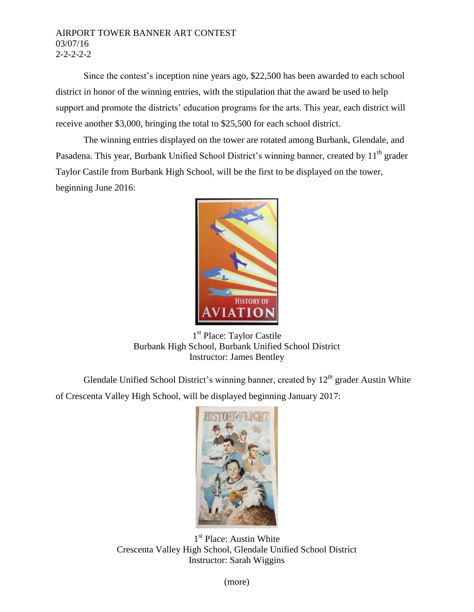### AIRPORT TOWER BANNER ART CONTEST 03/07/16 2-2-2-2-2

Since the contest's inception nine years ago, \$22,500 has been awarded to each school district in honor of the winning entries, with the stipulation that the award be used to help support and promote the districts' education programs for the arts. This year, each district will receive another \$3,000, bringing the total to \$25,500 for each school district.

The winning entries displayed on the tower are rotated among Burbank, Glendale, and Pasadena. This year, Burbank Unified School District's winning banner, created by 11<sup>th</sup> grader Taylor Castile from Burbank High School, will be the first to be displayed on the tower, beginning June 2016:



1<sup>st</sup> Place: Taylor Castile Burbank High School, Burbank Unified School District Instructor: James Bentley

Glendale Unified School District's winning banner, created by  $12<sup>th</sup>$  grader Austin White of Crescenta Valley High School, will be displayed beginning January 2017:



1<sup>st</sup> Place: Austin White Crescenta Valley High School, Glendale Unified School District Instructor: Sarah Wiggins

(more)